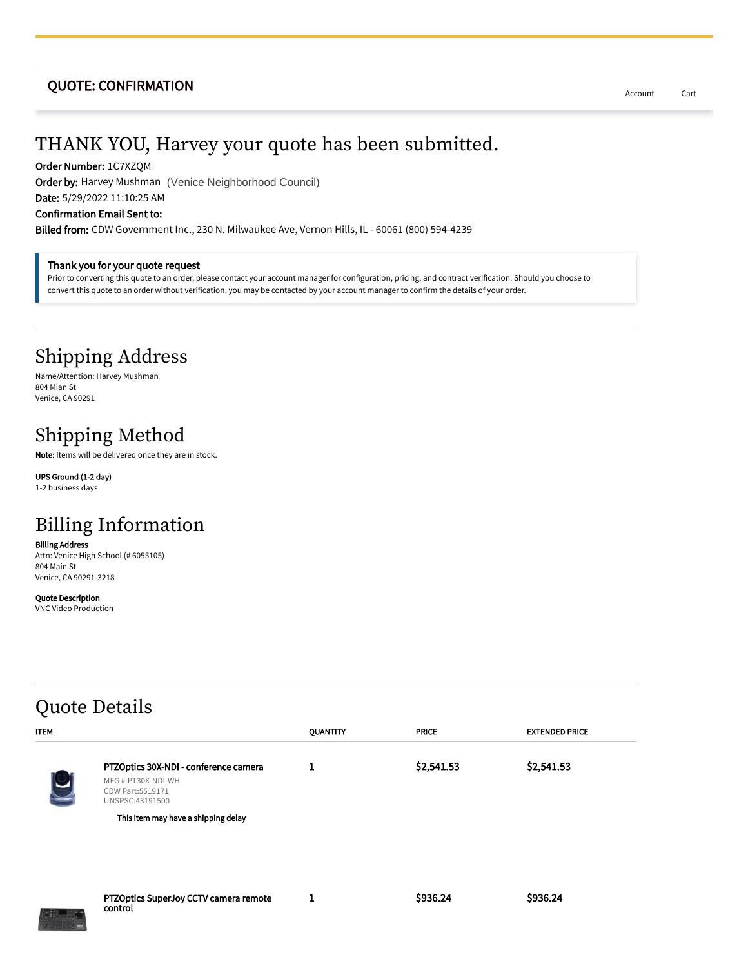#### QUOTE: CONFIRMATION

## THANK YOU, Harvey your quote has been submitted.

Order Number: 1C7XZQM

Order by: Harvey Mushman (Venice Neighborhood Council)

Date: 5/29/2022 11:10:25 AM

Confirmation Email Sent to:

Billed from: CDW Government Inc., 230 N. Milwaukee Ave, Vernon Hills, IL - 60061 (800) 594-4239

#### Thank you for your quote request

Prior to converting this quote to an order, please contact your account manager for configuration, pricing, and contract verification. Should you choose to convert this quote to an order without verification, you may be contacted by your account manager to confirm the details of your order.

### Shipping Address

Name/Attention: Harvey Mushman 804 Mian St Venice, CA 90291

## Shipping Method

Note: Items will be delivered once they are in stock.

UPS Ground (1-2 day) 1-2 business days

# Billing Information

Billing Address Attn: Venice High School (# 6055105) 804 Main St Venice, CA 90291-3218

Quote Description VNC Video Production

#### Quote Details ITEM QUANTITY PRICE EXTENDED PRICE PTZOptics 30X-NDI - conference camera MFG #:PT30X-NDI-WH CDW Part:5519171 UNSPSC:43191500 1 \$2,541.53 \$2,541.53 PTZOptics SuperJoy CCTV camera remote control 1 \$936.24 \$936.24 This item may have a shipping delay